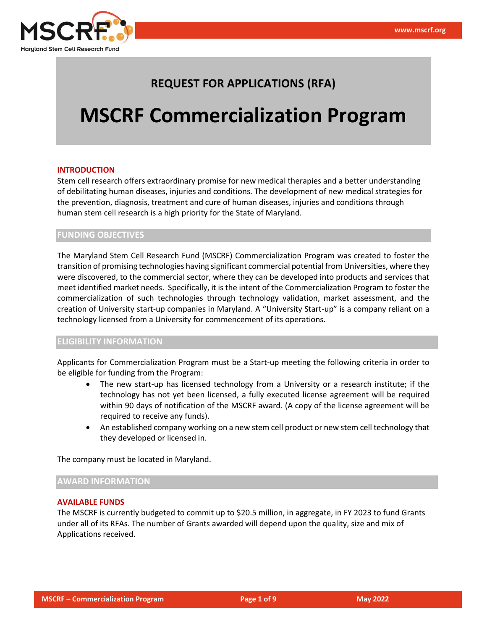

# **REQUEST FOR APPLICATIONS (RFA)**

# **MSCRF Commercialization Program**

# **INTRODUCTION**

Stem cell research offers extraordinary promise for new medical therapies and a better understanding of debilitating human diseases, injuries and conditions. The development of new medical strategies for the prevention, diagnosis, treatment and cure of human diseases, injuries and conditions through human stem cell research is a high priority for the State of Maryland.

# **FUNDING OBJECTIVES**

The Maryland Stem Cell Research Fund (MSCRF) Commercialization Program was created to foster the transition of promising technologies having significant commercial potential from Universities, where they were discovered, to the commercial sector, where they can be developed into products and services that meet identified market needs. Specifically, it is the intent of the Commercialization Program to foster the commercialization of such technologies through technology validation, market assessment, and the creation of University start-up companies in Maryland. A "University Start-up" is a company reliant on a technology licensed from a University for commencement of its operations.

# **ELIGIBILITY INFORMATION**

Applicants for Commercialization Program must be a Start-up meeting the following criteria in order to be eligible for funding from the Program:

- The new start-up has licensed technology from a University or a research institute; if the technology has not yet been licensed, a fully executed license agreement will be required within 90 days of notification of the MSCRF award. (A copy of the license agreement will be required to receive any funds).
- An established company working on a new stem cell product or new stem cell technology that they developed or licensed in.

The company must be located in Maryland.

# **AWARD INFORMATION**

# **AVAILABLE FUNDS**

The MSCRF is currently budgeted to commit up to \$20.5 million, in aggregate, in FY 2023 to fund Grants under all of its RFAs. The number of Grants awarded will depend upon the quality, size and mix of Applications received.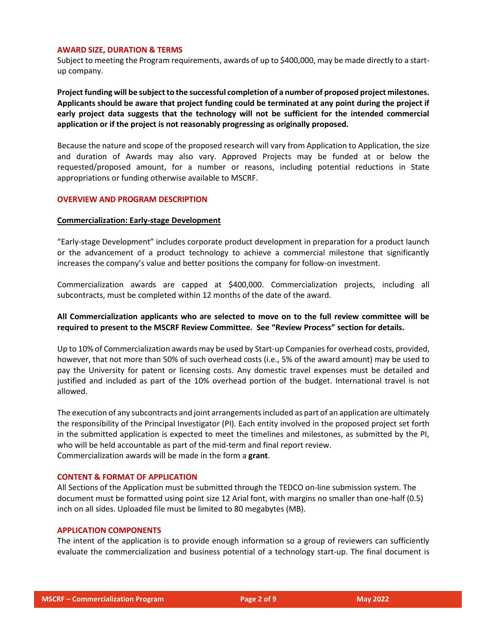#### **AWARD SIZE, DURATION & TERMS**

Subject to meeting the Program requirements, awards of up to \$400,000, may be made directly to a startup company.

**Project funding will be subject to the successful completion of a number of proposed project milestones. Applicants should be aware that project funding could be terminated at any point during the project if early project data suggests that the technology will not be sufficient for the intended commercial application or if the project is not reasonably progressing as originally proposed.**

Because the nature and scope of the proposed research will vary from Application to Application, the size and duration of Awards may also vary. Approved Projects may be funded at or below the requested/proposed amount, for a number or reasons, including potential reductions in State appropriations or funding otherwise available to MSCRF.

# **OVERVIEW AND PROGRAM DESCRIPTION**

# **Commercialization: Early-stage Development**

"Early-stage Development" includes corporate product development in preparation for a product launch or the advancement of a product technology to achieve a commercial milestone that significantly increases the company's value and better positions the company for follow-on investment.

Commercialization awards are capped at \$400,000. Commercialization projects, including all subcontracts, must be completed within 12 months of the date of the award.

# **All Commercialization applicants who are selected to move on to the full review committee will be required to present to the MSCRF Review Committee. See "Review Process" section for details.**

Up to 10% of Commercialization awards may be used by Start-up Companies for overhead costs, provided, however, that not more than 50% of such overhead costs (i.e., 5% of the award amount) may be used to pay the University for patent or licensing costs. Any domestic travel expenses must be detailed and justified and included as part of the 10% overhead portion of the budget. International travel is not allowed.

The execution of any subcontracts and joint arrangements included as part of an application are ultimately the responsibility of the Principal Investigator (PI). Each entity involved in the proposed project set forth in the submitted application is expected to meet the timelines and milestones, as submitted by the PI, who will be held accountable as part of the mid-term and final report review. Commercialization awards will be made in the form a **grant**.

# **CONTENT & FORMAT OF APPLICATION**

All Sections of the Application must be submitted through the TEDCO on-line submission system. The document must be formatted using point size 12 Arial font, with margins no smaller than one-half (0.5) inch on all sides. Uploaded file must be limited to 80 megabytes (MB).

# **APPLICATION COMPONENTS**

The intent of the application is to provide enough information so a group of reviewers can sufficiently evaluate the commercialization and business potential of a technology start-up. The final document is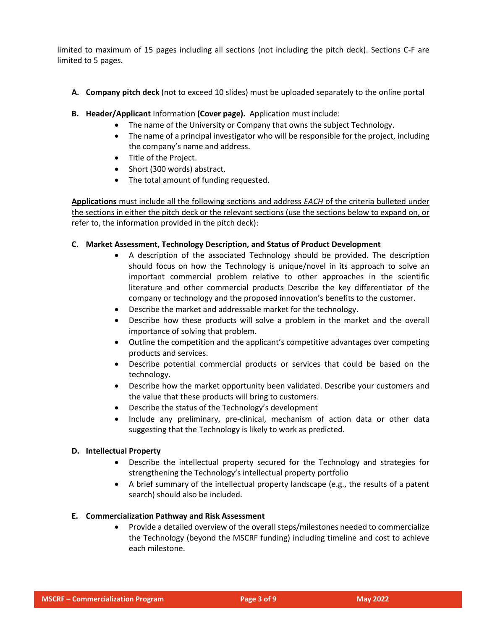limited to maximum of 15 pages including all sections (not including the pitch deck). Sections C-F are limited to 5 pages.

- **A. Company pitch deck** (not to exceed 10 slides) must be uploaded separately to the online portal
- **B. Header/Applicant** Information **(Cover page).** Application must include:
	- The name of the University or Company that owns the subject Technology.
	- The name of a principal investigator who will be responsible for the project, including the company's name and address.
	- Title of the Project.
	- Short (300 words) abstract.
	- The total amount of funding requested.

**Applications** must include all the following sections and address *EACH* of the criteria bulleted under the sections in either the pitch deck or the relevant sections (use the sections below to expand on, or refer to, the information provided in the pitch deck):

# **C. Market Assessment, Technology Description, and Status of Product Development**

- A description of the associated Technology should be provided. The description should focus on how the Technology is unique/novel in its approach to solve an important commercial problem relative to other approaches in the scientific literature and other commercial products Describe the key differentiator of the company or technology and the proposed innovation's benefits to the customer.
- Describe the market and addressable market for the technology.
- Describe how these products will solve a problem in the market and the overall importance of solving that problem.
- Outline the competition and the applicant's competitive advantages over competing products and services.
- Describe potential commercial products or services that could be based on the technology.
- Describe how the market opportunity been validated. Describe your customers and the value that these products will bring to customers.
- Describe the status of the Technology's development
- Include any preliminary, pre-clinical, mechanism of action data or other data suggesting that the Technology is likely to work as predicted.

# **D. Intellectual Property**

- Describe the intellectual property secured for the Technology and strategies for strengthening the Technology's intellectual property portfolio
- A brief summary of the intellectual property landscape (e.g., the results of a patent search) should also be included.

# **E. Commercialization Pathway and Risk Assessment**

• Provide a detailed overview of the overall steps/milestones needed to commercialize the Technology (beyond the MSCRF funding) including timeline and cost to achieve each milestone.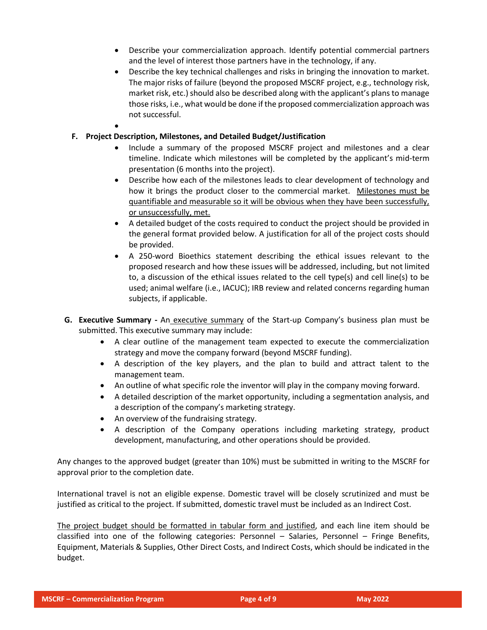- Describe your commercialization approach. Identify potential commercial partners and the level of interest those partners have in the technology, if any.
- Describe the key technical challenges and risks in bringing the innovation to market. The major risks of failure (beyond the proposed MSCRF project, e.g., technology risk, market risk, etc.) should also be described along with the applicant's plans to manage those risks, i.e., what would be done if the proposed commercialization approach was not successful.
- **F. Project Description, Milestones, and Detailed Budget/Justification**

•

- Include a summary of the proposed MSCRF project and milestones and a clear timeline. Indicate which milestones will be completed by the applicant's mid-term presentation (6 months into the project).
- Describe how each of the milestones leads to clear development of technology and how it brings the product closer to the commercial market. Milestones must be quantifiable and measurable so it will be obvious when they have been successfully, or unsuccessfully, met.
- A detailed budget of the costs required to conduct the project should be provided in the general format provided below. A justification for all of the project costs should be provided.
- A 250-word Bioethics statement describing the ethical issues relevant to the proposed research and how these issues will be addressed, including, but not limited to, a discussion of the ethical issues related to the cell type(s) and cell line(s) to be used; animal welfare (i.e., IACUC); IRB review and related concerns regarding human subjects, if applicable.
- **G. Executive Summary -** An executive summary of the Start-up Company's business plan must be submitted. This executive summary may include:
	- A clear outline of the management team expected to execute the commercialization strategy and move the company forward (beyond MSCRF funding).
	- A description of the key players, and the plan to build and attract talent to the management team.
	- An outline of what specific role the inventor will play in the company moving forward.
	- A detailed description of the market opportunity, including a segmentation analysis, and a description of the company's marketing strategy.
	- An overview of the fundraising strategy.
	- A description of the Company operations including marketing strategy, product development, manufacturing, and other operations should be provided.

Any changes to the approved budget (greater than 10%) must be submitted in writing to the MSCRF for approval prior to the completion date.

International travel is not an eligible expense. Domestic travel will be closely scrutinized and must be justified as critical to the project. If submitted, domestic travel must be included as an Indirect Cost.

The project budget should be formatted in tabular form and justified, and each line item should be classified into one of the following categories: Personnel – Salaries, Personnel – Fringe Benefits, Equipment, Materials & Supplies, Other Direct Costs, and Indirect Costs, which should be indicated in the budget.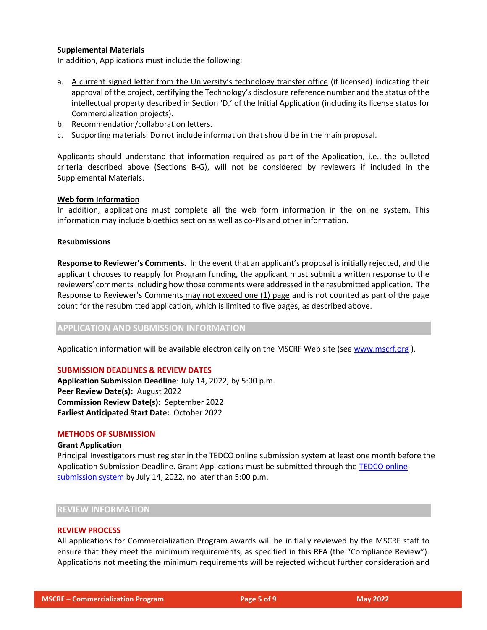# **Supplemental Materials**

In addition, Applications must include the following:

- a. A current signed letter from the University's technology transfer office (if licensed) indicating their approval of the project, certifying the Technology's disclosure reference number and the status of the intellectual property described in Section 'D.' of the Initial Application (including its license status for Commercialization projects).
- b. Recommendation/collaboration letters.
- c. Supporting materials. Do not include information that should be in the main proposal.

Applicants should understand that information required as part of the Application, i.e., the bulleted criteria described above (Sections B-G), will not be considered by reviewers if included in the Supplemental Materials.

# **Web form Information**

In addition, applications must complete all the web form information in the online system. This information may include bioethics section as well as co-PIs and other information.

#### **Resubmissions**

**Response to Reviewer's Comments.** In the event that an applicant's proposal is initially rejected, and the applicant chooses to reapply for Program funding, the applicant must submit a written response to the reviewers' comments including how those comments were addressed in the resubmitted application. The Response to Reviewer's Comments may not exceed one (1) page and is not counted as part of the page count for the resubmitted application, which is limited to five pages, as described above.

# **APPLICATION AND SUBMISSION INFORMATION**

Application information will be available electronically on the MSCRF Web site (see [www.mscrf.org](http://www.mscrf.org/) ).

#### **SUBMISSION DEADLINES & REVIEW DATES**

**Application Submission Deadline**: July 14, 2022, by 5:00 p.m. **Peer Review Date(s):** August 2022 **Commission Review Date(s):** September 2022 **Earliest Anticipated Start Date:** October 2022

#### **METHODS OF SUBMISSION**

#### **Grant Application**

Principal Investigators must register in the TEDCO online submission system at least one month before the Application Submission Deadline. Grant Applications must be submitted through the [TEDCO online](https://jlweb.co/prod1/portal/portal.jsp?c=2222979&p=5503280&g=5597611)  [submission system](https://jlweb.co/prod1/portal/portal.jsp?c=2222979&p=5503280&g=5597611) by July 14, 2022, no later than 5:00 p.m.

#### **REVIEW INFORMATION**

#### **REVIEW PROCESS**

All applications for Commercialization Program awards will be initially reviewed by the MSCRF staff to ensure that they meet the minimum requirements, as specified in this RFA (the "Compliance Review"). Applications not meeting the minimum requirements will be rejected without further consideration and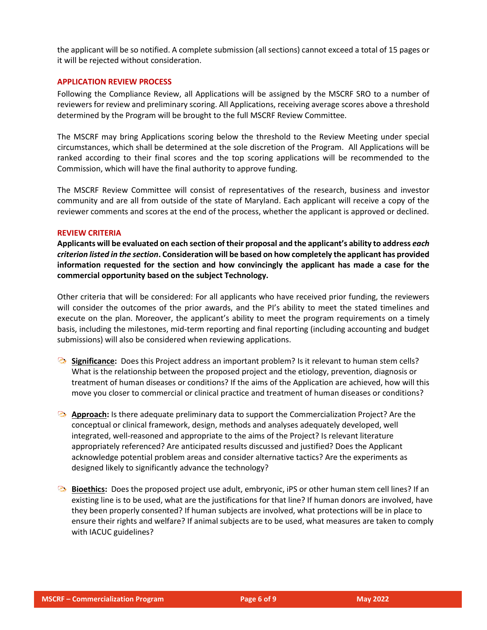the applicant will be so notified. A complete submission (all sections) cannot exceed a total of 15 pages or it will be rejected without consideration.

#### **APPLICATION REVIEW PROCESS**

Following the Compliance Review, all Applications will be assigned by the MSCRF SRO to a number of reviewers for review and preliminary scoring. All Applications, receiving average scores above a threshold determined by the Program will be brought to the full MSCRF Review Committee.

The MSCRF may bring Applications scoring below the threshold to the Review Meeting under special circumstances, which shall be determined at the sole discretion of the Program. All Applications will be ranked according to their final scores and the top scoring applications will be recommended to the Commission, which will have the final authority to approve funding.

The MSCRF Review Committee will consist of representatives of the research, business and investor community and are all from outside of the state of Maryland. Each applicant will receive a copy of the reviewer comments and scores at the end of the process, whether the applicant is approved or declined.

#### **REVIEW CRITERIA**

**Applicants will be evaluated on each section of their proposal and the applicant's ability to address** *each criterion listed in the section***. Consideration will be based on how completely the applicant has provided information requested for the section and how convincingly the applicant has made a case for the commercial opportunity based on the subject Technology.**

Other criteria that will be considered: For all applicants who have received prior funding, the reviewers will consider the outcomes of the prior awards, and the PI's ability to meet the stated timelines and execute on the plan. Moreover, the applicant's ability to meet the program requirements on a timely basis, including the milestones, mid-term reporting and final reporting (including accounting and budget submissions) will also be considered when reviewing applications.

- **Significance:** Does this Project address an important problem? Is it relevant to human stem cells? What is the relationship between the proposed project and the etiology, prevention, diagnosis or treatment of human diseases or conditions? If the aims of the Application are achieved, how will this move you closer to commercial or clinical practice and treatment of human diseases or conditions?
- **Approach:** Is there adequate preliminary data to support the Commercialization Project? Are the conceptual or clinical framework, design, methods and analyses adequately developed, well integrated, well-reasoned and appropriate to the aims of the Project? Is relevant literature appropriately referenced? Are anticipated results discussed and justified? Does the Applicant acknowledge potential problem areas and consider alternative tactics? Are the experiments as designed likely to significantly advance the technology?
- **Bioethics:** Does the proposed project use adult, embryonic, iPS or other human stem cell lines? If an existing line is to be used, what are the justifications for that line? If human donors are involved, have they been properly consented? If human subjects are involved, what protections will be in place to ensure their rights and welfare? If animal subjects are to be used, what measures are taken to comply with IACUC guidelines?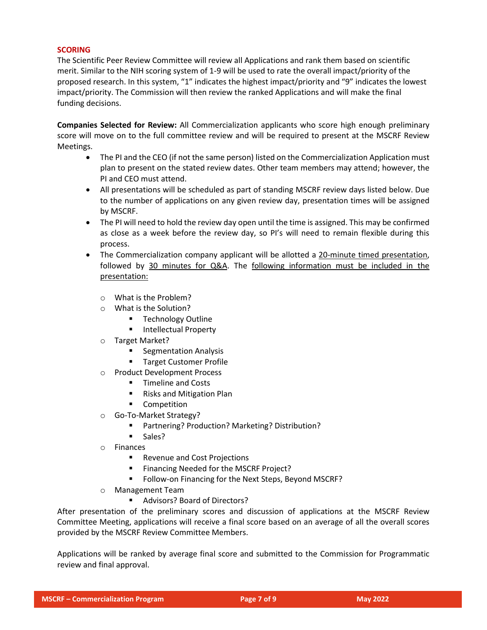# **SCORING**

The Scientific Peer Review Committee will review all Applications and rank them based on scientific merit. Similar to the NIH scoring system of 1-9 will be used to rate the overall impact/priority of the proposed research. In this system, "1" indicates the highest impact/priority and "9" indicates the lowest impact/priority. The Commission will then review the ranked Applications and will make the final funding decisions.

**Companies Selected for Review:** All Commercialization applicants who score high enough preliminary score will move on to the full committee review and will be required to present at the MSCRF Review Meetings.

- The PI and the CEO (if not the same person) listed on the Commercialization Application must plan to present on the stated review dates. Other team members may attend; however, the PI and CEO must attend.
- All presentations will be scheduled as part of standing MSCRF review days listed below. Due to the number of applications on any given review day, presentation times will be assigned by MSCRF.
- The PI will need to hold the review day open until the time is assigned. This may be confirmed as close as a week before the review day, so PI's will need to remain flexible during this process.
- The Commercialization company applicant will be allotted a 20-minute timed presentation, followed by 30 minutes for Q&A. The following information must be included in the presentation:
	- o What is the Problem?
	- o What is the Solution?
		- **Technology Outline**
		- Intellectual Property
	- o Target Market?
		- Segmentation Analysis
		- Target Customer Profile
	- o Product Development Process
		- Timeline and Costs
		- Risks and Mitigation Plan
		- Competition
	- o Go-To-Market Strategy?
		- Partnering? Production? Marketing? Distribution?
		- Sales?
	- o Finances
		- Revenue and Cost Projections
		- Financing Needed for the MSCRF Project?
		- Follow-on Financing for the Next Steps, Beyond MSCRF?
	- o Management Team
		- Advisors? Board of Directors?

After presentation of the preliminary scores and discussion of applications at the MSCRF Review Committee Meeting, applications will receive a final score based on an average of all the overall scores provided by the MSCRF Review Committee Members.

Applications will be ranked by average final score and submitted to the Commission for Programmatic review and final approval.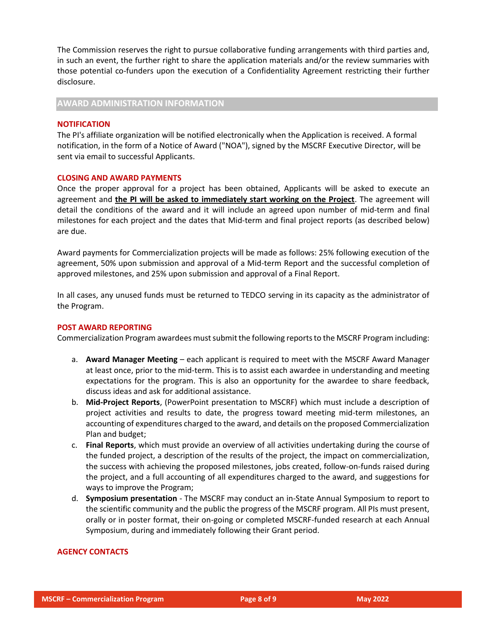The Commission reserves the right to pursue collaborative funding arrangements with third parties and, in such an event, the further right to share the application materials and/or the review summaries with those potential co-funders upon the execution of a Confidentiality Agreement restricting their further disclosure.

**AWARD ADMINISTRATION INFORMATION**

#### **NOTIFICATION**

The PI's affiliate organization will be notified electronically when the Application is received. A formal notification, in the form of a Notice of Award ("NOA"), signed by the MSCRF Executive Director, will be sent via email to successful Applicants.

#### **CLOSING AND AWARD PAYMENTS**

Once the proper approval for a project has been obtained, Applicants will be asked to execute an agreement and **the PI will be asked to immediately start working on the Project**. The agreement will detail the conditions of the award and it will include an agreed upon number of mid-term and final milestones for each project and the dates that Mid-term and final project reports (as described below) are due.

Award payments for Commercialization projects will be made as follows: 25% following execution of the agreement, 50% upon submission and approval of a Mid-term Report and the successful completion of approved milestones, and 25% upon submission and approval of a Final Report.

In all cases, any unused funds must be returned to TEDCO serving in its capacity as the administrator of the Program.

#### **POST AWARD REPORTING**

Commercialization Program awardees must submit the following reports to the MSCRF Program including:

- a. **Award Manager Meeting** each applicant is required to meet with the MSCRF Award Manager at least once, prior to the mid-term. This is to assist each awardee in understanding and meeting expectations for the program. This is also an opportunity for the awardee to share feedback, discuss ideas and ask for additional assistance.
- b. **Mid-Project Reports**, (PowerPoint presentation to MSCRF) which must include a description of project activities and results to date, the progress toward meeting mid-term milestones, an accounting of expenditures charged to the award, and details on the proposed Commercialization Plan and budget;
- c. **Final Reports**, which must provide an overview of all activities undertaking during the course of the funded project, a description of the results of the project, the impact on commercialization, the success with achieving the proposed milestones, jobs created, follow-on-funds raised during the project, and a full accounting of all expenditures charged to the award, and suggestions for ways to improve the Program;
- d. **Symposium presentation** The MSCRF may conduct an in-State Annual Symposium to report to the scientific community and the public the progress of the MSCRF program. All PIs must present, orally or in poster format, their on-going or completed MSCRF-funded research at each Annual Symposium, during and immediately following their Grant period.

#### **AGENCY CONTACTS**